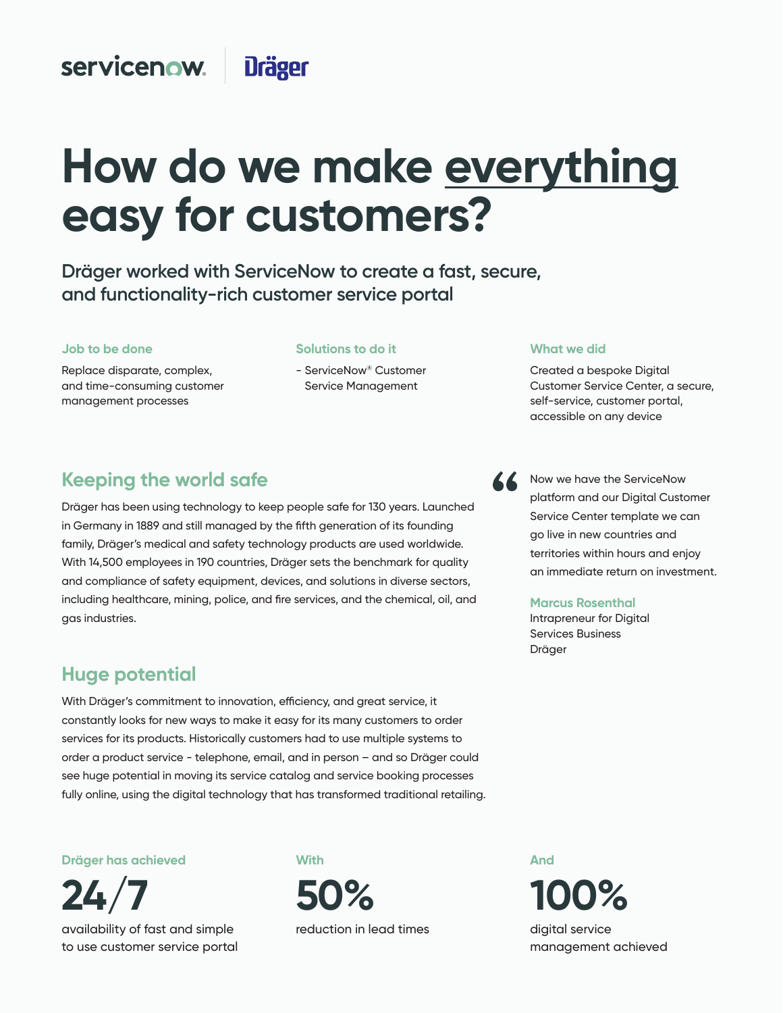#### servicenow. **Dräger**

# **How do we make everything easy for customers?**

**Dräger worked with ServiceNow to create a fast, secure,** and functionality-rich customer service portal

#### **Job to be done Job to be done**

Replace disparate, complex, and time-consuming customer management processes

#### **Solutions to do it Solutions to do it**

- ServiceNow® Customer Service Management

#### **What we did What we did**

Created a bespoke Digital Customer Service Center, a secure, self-service, customer portal, accessible on any device

Now we have the ServiceNow platform and our Digital Customer Service Center template we can go live in new countries and

**Darren Walker** an immediate return on investment.

territories within hours and enjoy

**Marcus Rosenthal** 

Dräger

Intrapreneur for Digital Services Business

## **Keeping the world safe**

Dräger has been using technology to keep people safe for 130 years. Launched in Germany in 1889 and still managed by the fifth generation of its founding family, Dräger's medical and safety technology products are used worldwide. With 14,500 employees in 190 countries, Dräger sets the benchmark for quality **Meeting all staff needs** gas industries. and compliance of safety equipment, devices, and solutions in diverse sectors, including healthcare, mining, police, and fire services, and the chemical, oil, and

## things that matter to our employees," says Chief HR Officer, Darren Walker. **Huge potential**

With Dräger's commitment to innovation, efficiency, and great service, it constantly looks for new ways to make it easy for its many customers to order services for its products. Historically customers had to use multiple systems to<br>. order a product service - telephone, email, and in person – and so Dräger could<br>. see huge potential in moving its service catalog and service booking processes<br>. fully online, using the digital technology that has transformed traditional retailing.

**Now Dräger has achieved**

**97% 24/7**  availability of fast and simple to use customer service portal

#### **With**

**90%**  reduction in lead times **50%**

And **16**  digital service **100%** 

management achieved